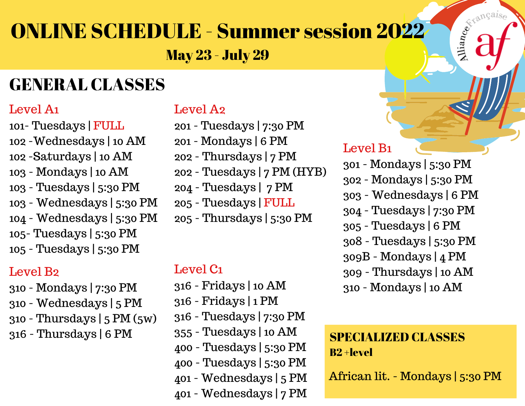# ONLINE SCHEDULE - Summer session 2022

May 23 - July 29

### GENERAL CLASSES

#### Level A1

101- Tuesdays | FULL -Wednesdays | 10 AM -Saturdays | 10 AM - Mondays | 10 AM - Tuesdays | 5:30 PM - Wednesdays | 5:30 PM - Wednesdays | 5:30 PM 105- Tuesdays | 5:30 PM - Tuesdays | 5:30 PM

#### Level B2

- Mondays | 7:30 PM
- Wednesdays | 5 PM
- Thursdays | 5 PM (5w)
- Thursdays | 6 PM

#### Level A2

- Tuesdays | 7:30 PM
- Mondays | 6 PM
- Thursdays | 7 PM
- Tuesdays | 7 PM (HYB)
- Tuesdays | 7 PM
- Tuesdays | FULL
- Thursdays | 5:30 PM

#### Level C1

- Fridays | 10 AM
- Fridays | 1 PM
- Tuesdays | 7:30 PM
- Tuesdays | 10 AM
- Tuesdays | 5:30 PM
- Tuesdays | 5:30 PM
- Wednesdays | 5 PM
- Wednesdays | 7 PM

#### Level B1

 - Mondays | 5:30 PM - Mondays | 5:30 PM - Wednesdays | 6 PM - Tuesdays | 7:30 PM - Tuesdays | 6 PM - Tuesdays | 5:30 PM 309B - Mondays | 4 PM - Thursdays | 10 AM - Mondays | 10 AM

E de Chamcaise

#### SPECIALIZED CLASSES B2 +level

African lit. - Mondays | 5:30 PM